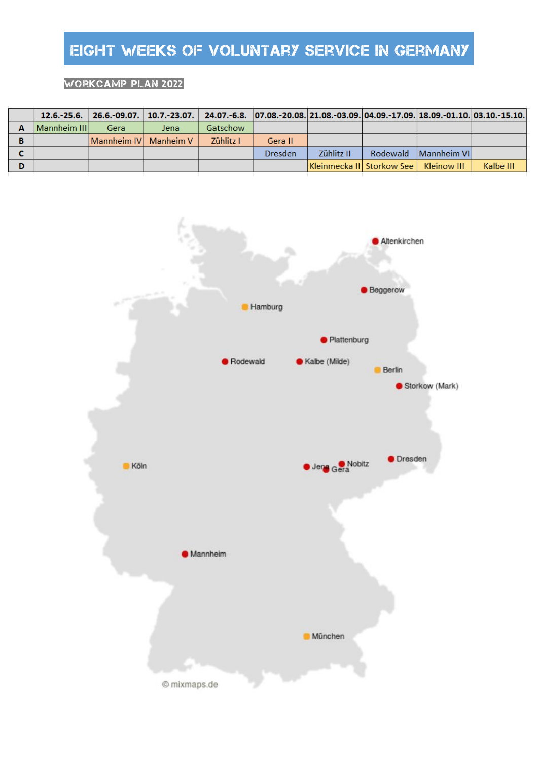## Workcamp plan 2022

|   |              | 12.6.-25.6.   26.6.-09.07.   10.7.-23.07.   24.07.-6.8.  07.08.-20.08.  21.08.-03.09. 04.09.-17.09.  18.09.-01.10.  03.10.-15.10. |      |           |                |                                         |                      |           |
|---|--------------|-----------------------------------------------------------------------------------------------------------------------------------|------|-----------|----------------|-----------------------------------------|----------------------|-----------|
|   | Mannheim III | Gera                                                                                                                              | Jena | Gatschow  |                |                                         |                      |           |
| в |              | <b>Mannheim IV</b> Manheim V                                                                                                      |      | Zühlitz I | Gera II        |                                         |                      |           |
|   |              |                                                                                                                                   |      |           | <b>Dresden</b> | Zühlitz II                              | Rodewald Mannheim VI |           |
| D |              |                                                                                                                                   |      |           |                | Kleinmecka II Storkow See   Kleinow III |                      | Kalbe III |

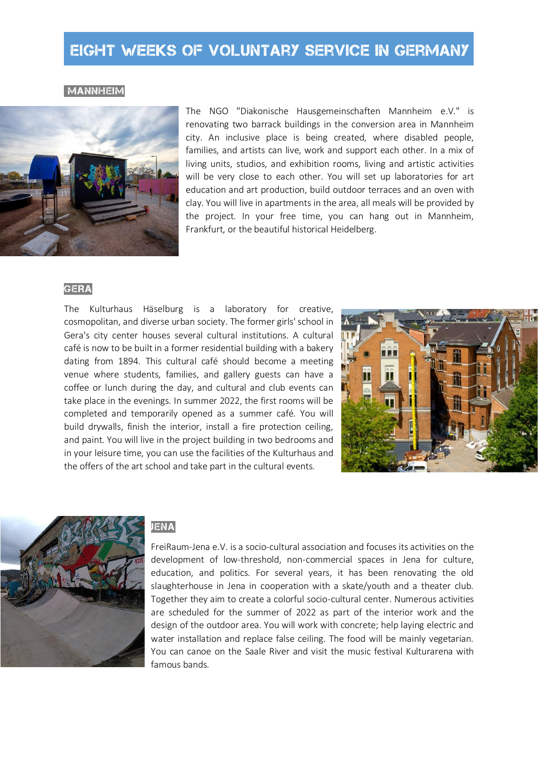**MANNHEIM** 



The NGO "Diakonische Hausgemeinschaften Mannheim e.V." is renovating two barrack buildings in the conversion area in Mannheim city. An inclusive place is being created, where disabled people, families, and artists can live, work and support each other. In a mix of living units, studios, and exhibition rooms, living and artistic activities will be very close to each other. You will set up laboratories for art education and art production, build outdoor terraces and an oven with clay. You will live in apartments in the area, all meals will be provided by the project. In your free time, you can hang out in Mannheim, Frankfurt, or the beautiful historical Heidelberg.

## **GERA**

The Kulturhaus Häselburg is a laboratory for creative, cosmopolitan, and diverse urban society. The former girls' school in Gera's city center houses several cultural institutions. A cultural café is now to be built in a former residential building with a bakery dating from 1894. This cultural café should become a meeting venue where students, families, and gallery guests can have a coffee or lunch during the day, and cultural and club events can take place in the evenings. In summer 2022, the first rooms will be completed and temporarily opened as a summer café. You will build drywalls, finish the interior, install a fire protection ceiling, and paint. You will live in the project building in two bedrooms and in your leisure time, you can use the facilities of the Kulturhaus and the offers of the art school and take part in the cultural events.





## JENA

FreiRaum-Jena e.V. is a socio-cultural association and focuses its activities on the development of low-threshold, non-commercial spaces in Jena for culture, education, and politics. For several years, it has been renovating the old slaughterhouse in Jena in cooperation with a skate/youth and a theater club. Together they aim to create a colorful socio-cultural center. Numerous activities are scheduled for the summer of 2022 as part of the interior work and the design of the outdoor area. You will work with concrete; help laying electric and water installation and replace false ceiling. The food will be mainly vegetarian. You can canoe on the Saale River and visit the music festival Kulturarena with famous bands.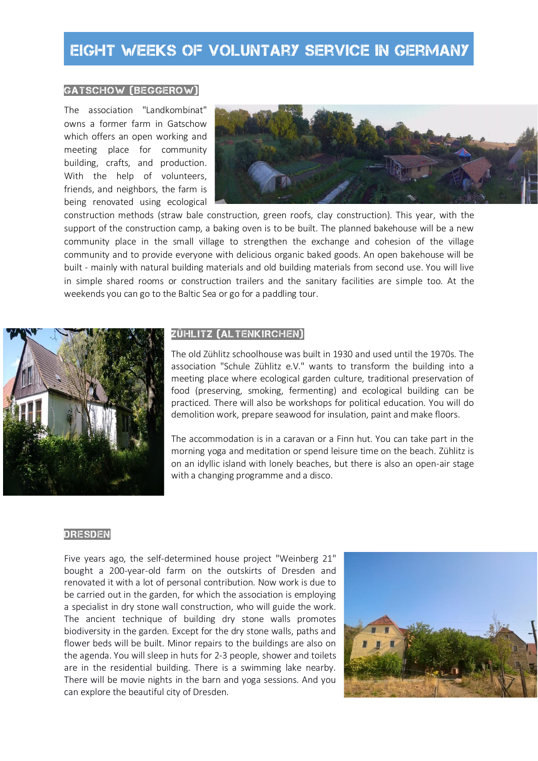### GATScHOW (BEGGEROW)

The association "Landkombinat" owns a former farm in Gatschow which offers an open working and meeting place for community building, crafts, and production. With the help of volunteers, friends, and neighbors, the farm is being renovated using ecological



construction methods (straw bale construction, green roofs, clay construction). This year, with the support of the construction camp, a baking oven is to be built. The planned bakehouse will be a new community place in the small village to strengthen the exchange and cohesion of the village community and to provide everyone with delicious organic baked goods. An open bakehouse will be built - mainly with natural building materials and old building materials from second use. You will live in simple shared rooms or construction trailers and the sanitary facilities are simple too. At the weekends you can go to the Baltic Sea or go for a paddling tour.



## ZÜHLITZ (ALTENKIRCHEN)

The old Zühlitz schoolhouse was built in 1930 and used until the 1970s. The association "Schule Zühlitz e.V." wants to transform the building into a meeting place where ecological garden culture, traditional preservation of food (preserving, smoking, fermenting) and ecological building can be practiced. There will also be workshops for political education. You will do demolition work, prepare seawood for insulation, paint and make floors.

The accommodation is in a caravan or a Finn hut. You can take part in the morning yoga and meditation or spend leisure time on the beach. Zühlitz is on an idyllic island with lonely beaches, but there is also an open-air stage with a changing programme and a disco.

#### DRESDEN

Five years ago, the self-determined house project "Weinberg 21" bought a 200-year-old farm on the outskirts of Dresden and renovated it with a lot of personal contribution. Now work is due to be carried out in the garden, for which the association is employing a specialist in dry stone wall construction, who will guide the work. The ancient technique of building dry stone walls promotes biodiversity in the garden. Except for the dry stone walls, paths and flower beds will be built. Minor repairs to the buildings are also on the agenda. You will sleep in huts for 2-3 people, shower and toilets are in the residential building. There is a swimming lake nearby. There will be movie nights in the barn and yoga sessions. And you can explore the beautiful city of Dresden.

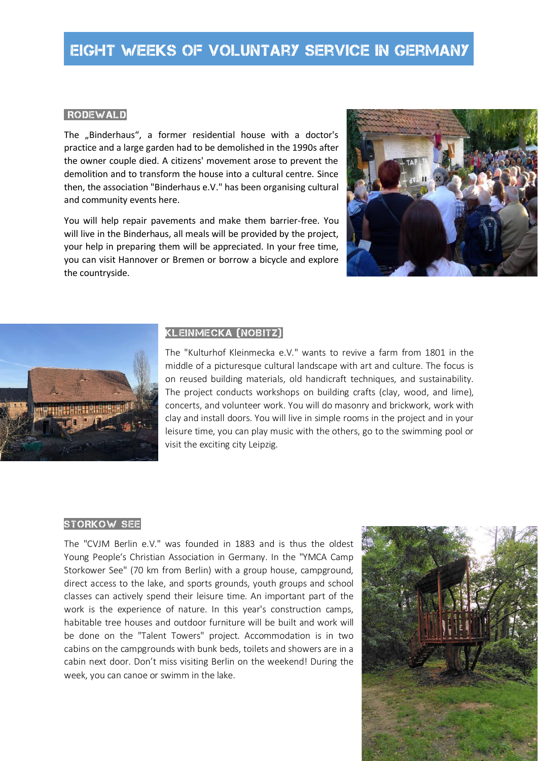### **RODEWALD**

The "Binderhaus", a former residential house with a doctor's practice and a large garden had to be demolished in the 1990s after the owner couple died. A citizens' movement arose to prevent the demolition and to transform the house into a cultural centre. Since then, the association "Binderhaus e.V." has been organising cultural and community events here.

You will help repair pavements and make them barrier-free. You will live in the Binderhaus, all meals will be provided by the project, your help in preparing them will be appreciated. In your free time, you can visit Hannover or Bremen or borrow a bicycle and explore the countryside.





## KLEINMECKA (NOBITZ)

The "Kulturhof Kleinmecka e.V." wants to revive a farm from 1801 in the middle of a picturesque cultural landscape with art and culture. The focus is on reused building materials, old handicraft techniques, and sustainability. The project conducts workshops on building crafts (clay, wood, and lime), concerts, and volunteer work. You will do masonry and brickwork, work with clay and install doors. You will live in simple rooms in the project and in your leisure time, you can play music with the others, go to the swimming pool or visit the exciting city Leipzig.

#### STORKOW SEE

The "CVJM Berlin e.V." was founded in 1883 and is thus the oldest Young People's Christian Association in Germany. In the "YMCA Camp Storkower See" (70 km from Berlin) with a group house, campground, direct access to the lake, and sports grounds, youth groups and school classes can actively spend their leisure time. An important part of the work is the experience of nature. In this year's construction camps, habitable tree houses and outdoor furniture will be built and work will be done on the "Talent Towers" project. Accommodation is in two cabins on the campgrounds with bunk beds, toilets and showers are in a cabin next door. Don't miss visiting Berlin on the weekend! During the week, you can canoe or swimm in the lake.